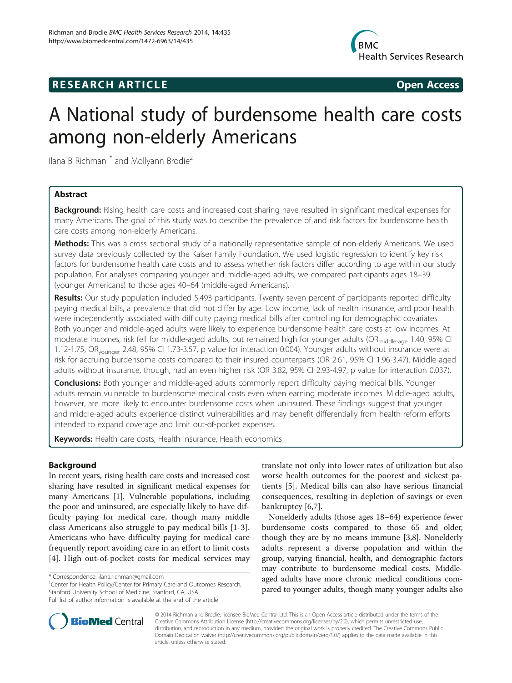

## **RESEARCH ARTICLE Example 2018 Open Access**

# A National study of burdensome health care costs among non-elderly Americans

Ilana B Richman<sup>1\*</sup> and Mollyann Brodie<sup>2</sup>

## Abstract

Background: Rising health care costs and increased cost sharing have resulted in significant medical expenses for many Americans. The goal of this study was to describe the prevalence of and risk factors for burdensome health care costs among non-elderly Americans.

Methods: This was a cross sectional study of a nationally representative sample of non-elderly Americans. We used survey data previously collected by the Kaiser Family Foundation. We used logistic regression to identify key risk factors for burdensome health care costs and to assess whether risk factors differ according to age within our study population. For analyses comparing younger and middle-aged adults, we compared participants ages 18–39 (younger Americans) to those ages 40–64 (middle-aged Americans).

Results: Our study population included 5,493 participants. Twenty seven percent of participants reported difficulty paying medical bills, a prevalence that did not differ by age. Low income, lack of health insurance, and poor health were independently associated with difficulty paying medical bills after controlling for demographic covariates. Both younger and middle-aged adults were likely to experience burdensome health care costs at low incomes. At moderate incomes, risk fell for middle-aged adults, but remained high for younger adults (OR<sub>middle-age</sub> 1.40, 95% CI 1.12-1.75, ORyounger 2.48, 95% CI 1.73-3.57, p value for interaction 0.004). Younger adults without insurance were at risk for accruing burdensome costs compared to their insured counterparts (OR 2.61, 95% CI 1.96-3.47). Middle-aged adults without insurance, though, had an even higher risk (OR 3.82, 95% CI 2.93-4.97, p value for interaction 0.037).

**Conclusions:** Both younger and middle-aged adults commonly report difficulty paying medical bills. Younger adults remain vulnerable to burdensome medical costs even when earning moderate incomes. Middle-aged adults, however, are more likely to encounter burdensome costs when uninsured. These findings suggest that younger and middle-aged adults experience distinct vulnerabilities and may benefit differentially from health reform efforts intended to expand coverage and limit out-of-pocket expenses.

Keywords: Health care costs, Health insurance, Health economics

## Background

In recent years, rising health care costs and increased cost sharing have resulted in significant medical expenses for many Americans [\[1\]](#page-5-0). Vulnerable populations, including the poor and uninsured, are especially likely to have difficulty paying for medical care, though many middle class Americans also struggle to pay medical bills [\[1](#page-5-0)-[3](#page-5-0)]. Americans who have difficulty paying for medical care frequently report avoiding care in an effort to limit costs [[4\]](#page-5-0). High out-of-pocket costs for medical services may

<sup>1</sup> Center for Health Policy/Center for Primary Care and Outcomes Research, Stanford University School of Medicine, Stanford, CA, USA

translate not only into lower rates of utilization but also worse health outcomes for the poorest and sickest patients [\[5](#page-5-0)]. Medical bills can also have serious financial consequences, resulting in depletion of savings or even bankruptcy [[6,7\]](#page-5-0).

Nonelderly adults (those ages 18–64) experience fewer burdensome costs compared to those 65 and older, though they are by no means immune [\[3](#page-5-0),[8](#page-5-0)]. Nonelderly adults represent a diverse population and within the group, varying financial, health, and demographic factors may contribute to burdensome medical costs. Middleaged adults have more chronic medical conditions compared to younger adults, though many younger adults also



© 2014 Richman and Brodie; licensee BioMed Central Ltd. This is an Open Access article distributed under the terms of the Creative Commons Attribution License (<http://creativecommons.org/licenses/by/2.0>), which permits unrestricted use, distribution, and reproduction in any medium, provided the original work is properly credited. The Creative Commons Public Domain Dedication waiver [\(http://creativecommons.org/publicdomain/zero/1.0/\)](http://creativecommons.org/publicdomain/zero/1.0/) applies to the data made available in this article, unless otherwise stated.

<sup>\*</sup> Correspondence: [ilana.richman@gmail.com](mailto:ilana.richman@gmail.com) <sup>1</sup>

Full list of author information is available at the end of the article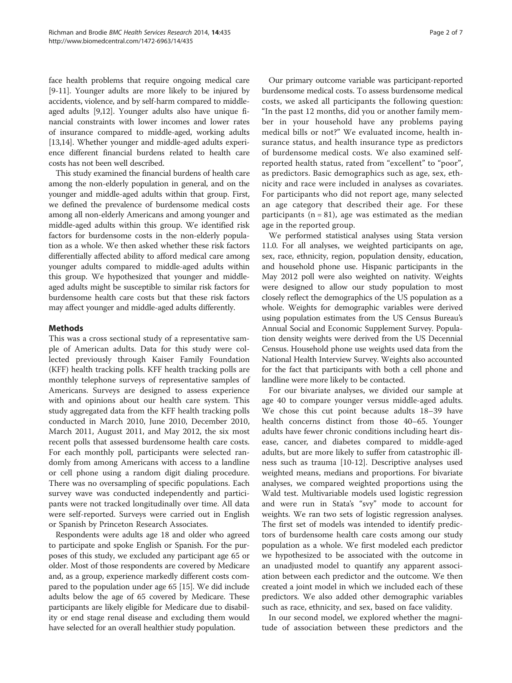face health problems that require ongoing medical care [[9-11\]](#page-5-0). Younger adults are more likely to be injured by accidents, violence, and by self-harm compared to middleaged adults [[9,](#page-5-0)[12](#page-6-0)]. Younger adults also have unique financial constraints with lower incomes and lower rates of insurance compared to middle-aged, working adults [[13,14](#page-6-0)]. Whether younger and middle-aged adults experience different financial burdens related to health care costs has not been well described.

This study examined the financial burdens of health care among the non-elderly population in general, and on the younger and middle-aged adults within that group. First, we defined the prevalence of burdensome medical costs among all non-elderly Americans and among younger and middle-aged adults within this group. We identified risk factors for burdensome costs in the non-elderly population as a whole. We then asked whether these risk factors differentially affected ability to afford medical care among younger adults compared to middle-aged adults within this group. We hypothesized that younger and middleaged adults might be susceptible to similar risk factors for burdensome health care costs but that these risk factors may affect younger and middle-aged adults differently.

## Methods

This was a cross sectional study of a representative sample of American adults. Data for this study were collected previously through Kaiser Family Foundation (KFF) health tracking polls. KFF health tracking polls are monthly telephone surveys of representative samples of Americans. Surveys are designed to assess experience with and opinions about our health care system. This study aggregated data from the KFF health tracking polls conducted in March 2010, June 2010, December 2010, March 2011, August 2011, and May 2012, the six most recent polls that assessed burdensome health care costs. For each monthly poll, participants were selected randomly from among Americans with access to a landline or cell phone using a random digit dialing procedure. There was no oversampling of specific populations. Each survey wave was conducted independently and participants were not tracked longitudinally over time. All data were self-reported. Surveys were carried out in English or Spanish by Princeton Research Associates.

Respondents were adults age 18 and older who agreed to participate and spoke English or Spanish. For the purposes of this study, we excluded any participant age 65 or older. Most of those respondents are covered by Medicare and, as a group, experience markedly different costs compared to the population under age 65 [[15](#page-6-0)]. We did include adults below the age of 65 covered by Medicare. These participants are likely eligible for Medicare due to disability or end stage renal disease and excluding them would have selected for an overall healthier study population.

Our primary outcome variable was participant-reported burdensome medical costs. To assess burdensome medical costs, we asked all participants the following question: "In the past 12 months, did you or another family member in your household have any problems paying medical bills or not?" We evaluated income, health insurance status, and health insurance type as predictors of burdensome medical costs. We also examined selfreported health status, rated from "excellent" to "poor", as predictors. Basic demographics such as age, sex, ethnicity and race were included in analyses as covariates. For participants who did not report age, many selected an age category that described their age. For these participants  $(n = 81)$ , age was estimated as the median age in the reported group.

We performed statistical analyses using Stata version 11.0. For all analyses, we weighted participants on age, sex, race, ethnicity, region, population density, education, and household phone use. Hispanic participants in the May 2012 poll were also weighted on nativity. Weights were designed to allow our study population to most closely reflect the demographics of the US population as a whole. Weights for demographic variables were derived using population estimates from the US Census Bureau's Annual Social and Economic Supplement Survey. Population density weights were derived from the US Decennial Census. Household phone use weights used data from the National Health Interview Survey. Weights also accounted for the fact that participants with both a cell phone and landline were more likely to be contacted.

For our bivariate analyses, we divided our sample at age 40 to compare younger versus middle-aged adults. We chose this cut point because adults 18–39 have health concerns distinct from those 40–65. Younger adults have fewer chronic conditions including heart disease, cancer, and diabetes compared to middle-aged adults, but are more likely to suffer from catastrophic illness such as trauma [\[10-](#page-5-0)[12](#page-6-0)]. Descriptive analyses used weighted means, medians and proportions. For bivariate analyses, we compared weighted proportions using the Wald test. Multivariable models used logistic regression and were run in Stata's "svy" mode to account for weights. We ran two sets of logistic regression analyses. The first set of models was intended to identify predictors of burdensome health care costs among our study population as a whole. We first modeled each predictor we hypothesized to be associated with the outcome in an unadjusted model to quantify any apparent association between each predictor and the outcome. We then created a joint model in which we included each of these predictors. We also added other demographic variables such as race, ethnicity, and sex, based on face validity.

In our second model, we explored whether the magnitude of association between these predictors and the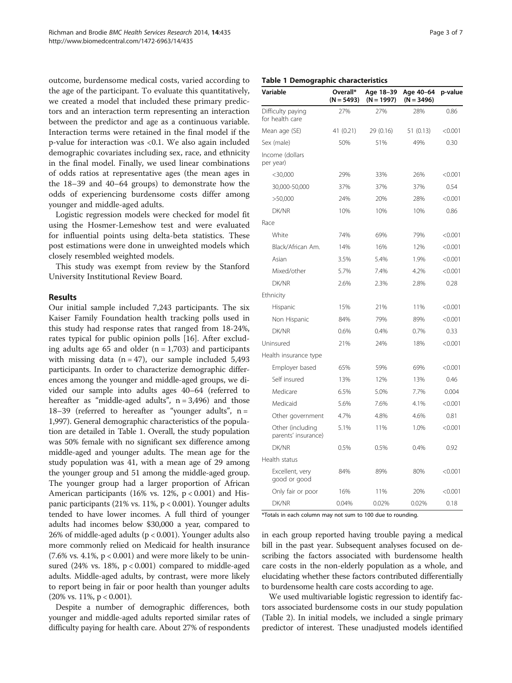outcome, burdensome medical costs, varied according to the age of the participant. To evaluate this quantitatively, we created a model that included these primary predictors and an interaction term representing an interaction between the predictor and age as a continuous variable. Interaction terms were retained in the final model if the p-value for interaction was <0.1. We also again included demographic covariates including sex, race, and ethnicity in the final model. Finally, we used linear combinations of odds ratios at representative ages (the mean ages in the 18–39 and 40–64 groups) to demonstrate how the odds of experiencing burdensome costs differ among younger and middle-aged adults.

Logistic regression models were checked for model fit using the Hosmer-Lemeshow test and were evaluated for influential points using delta-beta statistics. These post estimations were done in unweighted models which closely resembled weighted models.

This study was exempt from review by the Stanford University Institutional Review Board.

#### Results

Our initial sample included 7,243 participants. The six Kaiser Family Foundation health tracking polls used in this study had response rates that ranged from 18-24%, rates typical for public opinion polls [[16](#page-6-0)]. After excluding adults age 65 and older  $(n = 1,703)$  and participants with missing data  $(n = 47)$ , our sample included 5,493 participants. In order to characterize demographic differences among the younger and middle-aged groups, we divided our sample into adults ages 40–64 (referred to hereafter as "middle-aged adults",  $n = 3,496$ ) and those 18–39 (referred to hereafter as "younger adults",  $n=$ 1,997). General demographic characteristics of the population are detailed in Table 1. Overall, the study population was 50% female with no significant sex difference among middle-aged and younger adults. The mean age for the study population was 41, with a mean age of 29 among the younger group and 51 among the middle-aged group. The younger group had a larger proportion of African American participants (16% vs. 12%,  $p < 0.001$ ) and Hispanic participants (21% vs.  $11\%$ , p < 0.001). Younger adults tended to have lower incomes. A full third of younger adults had incomes below \$30,000 a year, compared to 26% of middle-aged adults (p < 0.001). Younger adults also more commonly relied on Medicaid for health insurance (7.6% vs.  $4.1\%$ ,  $p < 0.001$ ) and were more likely to be uninsured  $(24\% \text{ vs. } 18\%, \text{ p} < 0.001)$  compared to middle-aged adults. Middle-aged adults, by contrast, were more likely to report being in fair or poor health than younger adults  $(20\% \text{ vs. } 11\%, \text{ p} < 0.001).$ 

Despite a number of demographic differences, both younger and middle-aged adults reported similar rates of difficulty paying for health care. About 27% of respondents

|--|--|--|--|--|

#### Table 1 Demographic characteristics

| Variable                                | Overall*<br>$(N = 5493)$ | Age 18-39<br>$(N = 1997)$ | Age 40-64<br>$(N = 3496)$ | p-value |
|-----------------------------------------|--------------------------|---------------------------|---------------------------|---------|
| Difficulty paying<br>for health care    | 27%                      | 27%                       | 28%                       | 0.86    |
| Mean age (SE)                           | 41 (0.21)                | 29 (0.16)                 | 51 (0.13)                 | < 0.001 |
| Sex (male)                              | 50%                      | 51%                       | 49%                       | 0.30    |
| Income (dollars<br>per year)            |                          |                           |                           |         |
| $<$ 30,000                              | 29%                      | 33%                       | 26%                       | < 0.001 |
| 30,000-50,000                           | 37%                      | 37%                       | 37%                       | 0.54    |
| >50,000                                 | 24%                      | 20%                       | 28%                       | < 0.001 |
| <b>DK/NR</b>                            | 10%                      | 10%                       | 10%                       | 0.86    |
| Race                                    |                          |                           |                           |         |
| White                                   | 74%                      | 69%                       | 79%                       | < 0.001 |
| Black/African Am.                       | 14%                      | 16%                       | 12%                       | < 0.001 |
| Asian                                   | 3.5%                     | 5.4%                      | 1.9%                      | < 0.001 |
| Mixed/other                             | 5.7%                     | 7.4%                      | 4.2%                      | < 0.001 |
| <b>DK/NR</b>                            | 2.6%                     | 2.3%                      | 2.8%                      | 0.28    |
| Ethnicity                               |                          |                           |                           |         |
| Hispanic                                | 15%                      | 21%                       | 11%                       | < 0.001 |
| Non Hispanic                            | 84%                      | 79%                       | 89%                       | < 0.001 |
| DK/NR                                   | 0.6%                     | 0.4%                      | 0.7%                      | 0.33    |
| Uninsured                               | 21%                      | 24%                       | 18%                       | < 0.001 |
| Health insurance type                   |                          |                           |                           |         |
| Employer based                          | 65%                      | 59%                       | 69%                       | < 0.001 |
| Self insured                            | 13%                      | 12%                       | 13%                       | 0.46    |
| Medicare                                | 6.5%                     | 5.0%                      | 7.7%                      | 0.004   |
| Medicaid                                | 5.6%                     | 7.6%                      | 4.1%                      | < 0.001 |
| Other government                        | 4.7%                     | 4.8%                      | 4.6%                      | 0.81    |
| Other (including<br>parents' insurance) | 5.1%                     | 11%                       | 1.0%                      | < 0.001 |
| <b>DK/NR</b>                            | 0.5%                     | 0.5%                      | 0.4%                      | 0.92    |
| Health status                           |                          |                           |                           |         |
| Excellent, very<br>good or good         | 84%                      | 89%                       | 80%                       | < 0.001 |
| Only fair or poor                       | 16%                      | 11%                       | 20%                       | < 0.001 |
| <b>DK/NR</b>                            | 0.04%                    | 0.02%                     | 0.02%                     | 0.18    |

\*Totals in each column may not sum to 100 due to rounding.

in each group reported having trouble paying a medical bill in the past year. Subsequent analyses focused on describing the factors associated with burdensome health care costs in the non-elderly population as a whole, and elucidating whether these factors contributed differentially to burdensome health care costs according to age.

We used multivariable logistic regression to identify factors associated burdensome costs in our study population (Table [2](#page-3-0)). In initial models, we included a single primary predictor of interest. These unadjusted models identified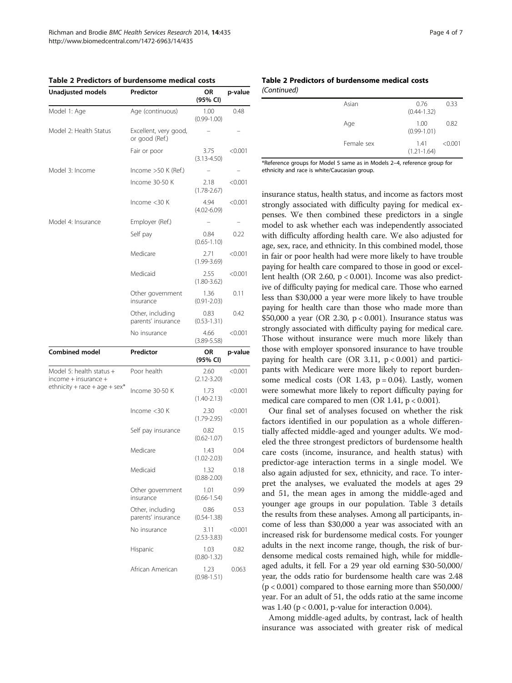<span id="page-3-0"></span>Richman and Brodie BMC Health Services Research 2014, 14:435 Page 4 of 7 http://www.biomedcentral.com/1472-6963/14/435

Table 2 Predictors of burdensome medical costs

| <b>Unadjusted models</b>                         | Predictor                               | OR<br>(95% CI)          | p-value |
|--------------------------------------------------|-----------------------------------------|-------------------------|---------|
| Model 1: Age                                     | Age (continuous)                        | 1.00<br>$(0.99 - 1.00)$ | 0.48    |
| Model 2: Health Status                           | Excellent, very good,<br>or good (Ref.) |                         |         |
|                                                  | Fair or poor                            | 3.75<br>$(3.13 - 4.50)$ | < 0.001 |
| Model 3: Income                                  | Income $>50$ K (Ref.)                   |                         |         |
|                                                  | Income 30-50 K                          | 2.18<br>$(1.78 - 2.67)$ | < 0.001 |
|                                                  | Income $<$ 30 K                         | 4.94<br>$(4.02 - 6.09)$ | < 0.001 |
| Model 4: Insurance                               | Employer (Ref.)                         |                         |         |
|                                                  | Self pay                                | 0.84<br>$(0.65 - 1.10)$ | 0.22    |
|                                                  | Medicare                                | 2.71<br>$(1.99 - 3.69)$ | < 0.001 |
|                                                  | Medicaid                                | 2.55<br>$(1.80 - 3.62)$ | < 0.001 |
|                                                  | Other government<br>insurance           | 1.36<br>$(0.91 - 2.03)$ | 0.11    |
|                                                  | Other, including<br>parents' insurance  | 0.83<br>$(0.53 - 1.31)$ | 0.42    |
|                                                  | No insurance                            | 4.66<br>$(3.89 - 5.58)$ | < 0.001 |
| <b>Combined model</b>                            | Predictor                               | OR<br>(95% CI)          | p-value |
| Model 5: health status +<br>income + insurance + | Poor health                             | 2.60<br>$(2.12 - 3.20)$ | < 0.001 |
| ethnicity + race + age + sex $*$                 | Income 30-50 K                          | 1.73<br>$(1.40 - 2.13)$ | < 0.001 |
|                                                  | Income $<$ 30 K                         | 2.30<br>$(1.79 - 2.95)$ | < 0.001 |
|                                                  | Self pay insurance                      | 0.82<br>$(0.62 - 1.07)$ | 0.15    |
|                                                  | Medicare                                | 1.43<br>$(1.02 - 2.03)$ | 0.04    |
|                                                  | Medicaid                                | 1.32<br>$(0.88 - 2.00)$ | 0.18    |
|                                                  | Other government<br>insurance           | 1.01<br>$(0.66 - 1.54)$ | 0.99    |
|                                                  | Other, including<br>parents' insurance  | 0.86<br>$(0.54 - 1.38)$ | 0.53    |
|                                                  | No insurance                            | 3.11<br>(2.53-3.83)     | < 0.001 |
|                                                  | Hispanic                                | 1.03<br>$(0.80 - 1.32)$ | 0.82    |
|                                                  | African American                        | 1.23<br>$(0.98 - 1.51)$ | 0.063   |

## Table 2 Predictors of burdensome medical costs (Continued)

| Asian      | 0.76<br>$(0.44 - 1.32)$ | 0.33    |
|------------|-------------------------|---------|
| Age        | 1.00<br>$(0.99 - 1.01)$ | 0.82    |
| Female sex | 1.41<br>$(1.21 - 1.64)$ | < 0.001 |

\*Reference groups for Model 5 same as in Models 2–4, reference group for ethnicity and race is white/Caucasian group.

insurance status, health status, and income as factors most strongly associated with difficulty paying for medical expenses. We then combined these predictors in a single model to ask whether each was independently associated with difficulty affording health care. We also adjusted for age, sex, race, and ethnicity. In this combined model, those in fair or poor health had were more likely to have trouble paying for health care compared to those in good or excellent health (OR 2.60, p < 0.001). Income was also predictive of difficulty paying for medical care. Those who earned less than \$30,000 a year were more likely to have trouble paying for health care than those who made more than \$50,000 a year (OR 2.30, p < 0.001). Insurance status was strongly associated with difficulty paying for medical care. Those without insurance were much more likely than those with employer sponsored insurance to have trouble paying for health care (OR 3.11,  $p < 0.001$ ) and participants with Medicare were more likely to report burdensome medical costs (OR 1.43,  $p = 0.04$ ). Lastly, women were somewhat more likely to report difficulty paying for medical care compared to men (OR 1.41, p < 0.001).

Our final set of analyses focused on whether the risk factors identified in our population as a whole differentially affected middle-aged and younger adults. We modeled the three strongest predictors of burdensome health care costs (income, insurance, and health status) with predictor-age interaction terms in a single model. We also again adjusted for sex, ethnicity, and race. To interpret the analyses, we evaluated the models at ages 29 and 51, the mean ages in among the middle-aged and younger age groups in our population. Table [3](#page-4-0) details the results from these analyses. Among all participants, income of less than \$30,000 a year was associated with an increased risk for burdensome medical costs. For younger adults in the next income range, though, the risk of burdensome medical costs remained high, while for middleaged adults, it fell. For a 29 year old earning \$30-50,000/ year, the odds ratio for burdensome health care was 2.48 (p < 0.001) compared to those earning more than \$50,000/ year. For an adult of 51, the odds ratio at the same income was  $1.40$  (p < 0.001, p-value for interaction 0.004).

Among middle-aged adults, by contrast, lack of health insurance was associated with greater risk of medical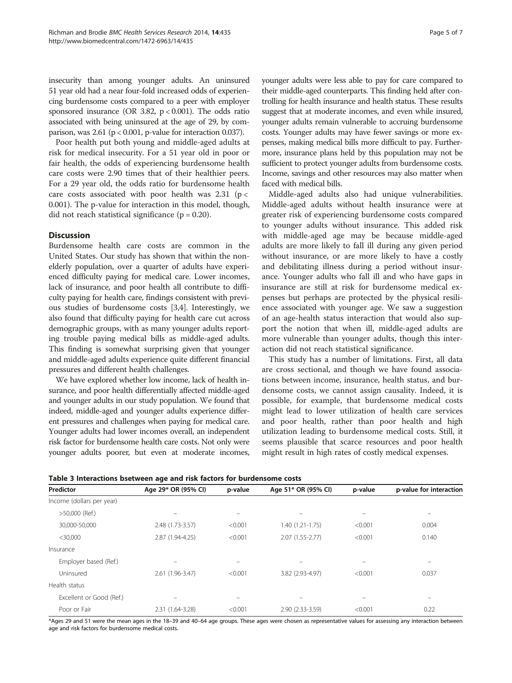<span id="page-4-0"></span>insecurity than among younger adults. An uninsured 51 year old had a near four-fold increased odds of experiencing burdensome costs compared to a peer with employer sponsored insurance (OR 3.82, p < 0.001). The odds ratio associated with being uninsured at the age of 29, by comparison, was  $2.61$  (p < 0.001, p-value for interaction 0.037).

Poor health put both young and middle-aged adults at risk for medical insecurity. For a 51 year old in poor or fair health, the odds of experiencing burdensome health care costs were 2.90 times that of their healthier peers. For a 29 year old, the odds ratio for burdensome health care costs associated with poor health was  $2.31$  (p < 0.001). The p-value for interaction in this model, though, did not reach statistical significance  $(p = 0.20)$ .

## Discussion

Burdensome health care costs are common in the United States. Our study has shown that within the nonelderly population, over a quarter of adults have experienced difficulty paying for medical care. Lower incomes, lack of insurance, and poor health all contribute to difficulty paying for health care, findings consistent with previous studies of burdensome costs [[3,4](#page-5-0)]. Interestingly, we also found that difficulty paying for health care cut across demographic groups, with as many younger adults reporting trouble paying medical bills as middle-aged adults. This finding is somewhat surprising given that younger and middle-aged adults experience quite different financial pressures and different health challenges.

We have explored whether low income, lack of health insurance, and poor health differentially affected middle-aged and younger adults in our study population. We found that indeed, middle-aged and younger adults experience different pressures and challenges when paying for medical care. Younger adults had lower incomes overall, an independent risk factor for burdensome health care costs. Not only were younger adults poorer, but even at moderate incomes, younger adults were less able to pay for care compared to their middle-aged counterparts. This finding held after controlling for health insurance and health status. These results suggest that at moderate incomes, and even while insured, younger adults remain vulnerable to accruing burdensome costs. Younger adults may have fewer savings or more expenses, making medical bills more difficult to pay. Furthermore, insurance plans held by this population may not be sufficient to protect younger adults from burdensome costs. Income, savings and other resources may also matter when faced with medical bills.

Middle-aged adults also had unique vulnerabilities. Middle-aged adults without health insurance were at greater risk of experiencing burdensome costs compared to younger adults without insurance. This added risk with middle-aged age may be because middle-aged adults are more likely to fall ill during any given period without insurance, or are more likely to have a costly and debilitating illness during a period without insurance. Younger adults who fall ill and who have gaps in insurance are still at risk for burdensome medical expenses but perhaps are protected by the physical resilience associated with younger age. We saw a suggestion of an age-health status interaction that would also support the notion that when ill, middle-aged adults are more vulnerable than younger adults, though this interaction did not reach statistical significance.

This study has a number of limitations. First, all data are cross sectional, and though we have found associations between income, insurance, health status, and burdensome costs, we cannot assign causality. Indeed, it is possible, for example, that burdensome medical costs might lead to lower utilization of health care services and poor health, rather than poor health and high utilization leading to burdensome medical costs. Still, it seems plausible that scarce resources and poor health might result in high rates of costly medical expenses.

| Table 3 Interactions bsetween age and risk factors for burdensome costs |  |  |  |  |  |  |
|-------------------------------------------------------------------------|--|--|--|--|--|--|
|-------------------------------------------------------------------------|--|--|--|--|--|--|

|                           | -                   |          |                     |         |                         |
|---------------------------|---------------------|----------|---------------------|---------|-------------------------|
| Predictor                 | Age 29* OR (95% CI) | p-value  | Age 51* OR (95% CI) | p-value | p-value for interaction |
| Income (dollars per year) |                     |          |                     |         |                         |
| $>50,000$ (Ref.)          |                     | -        |                     |         |                         |
| 30,000-50,000             | 2.48 (1.73-3.57)    | < 0.001  | $1.40(1.21-1.75)$   | < 0.001 | 0.004                   |
| $<$ 30,000                | 2.87 (1.94-4.25)    | < 0.001  | 2.07 (1.55-2.77)    | < 0.001 | 0.140                   |
| Insurance                 |                     |          |                     |         |                         |
| Employer based (Ref.)     |                     | $\equiv$ |                     |         | -                       |
| Uninsured                 | 2.61 (1.96-3.47)    | < 0.001  | 3.82 (2.93-4.97)    | < 0.001 | 0.037                   |
| Health status             |                     |          |                     |         |                         |
| Excellent or Good (Ref.)  |                     | $\equiv$ |                     |         |                         |
| Poor or Fair              | 2.31 (1.64-3.28)    | < 0.001  | 2.90 (2.33-3.59)    | < 0.001 | 0.22                    |
|                           |                     |          |                     |         |                         |

\*Ages 29 and 51 were the mean ages in the 18–39 and 40–64 age groups. These ages were chosen as representative values for assessing any interaction between age and risk factors for burdensome medical costs.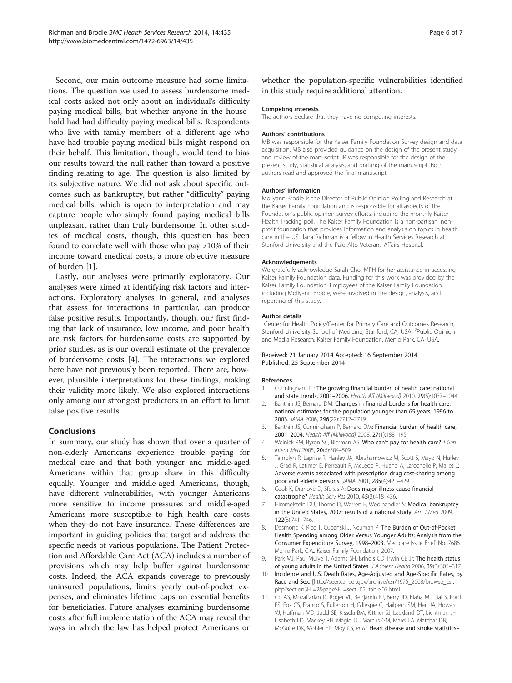<span id="page-5-0"></span>Second, our main outcome measure had some limitations. The question we used to assess burdensome medical costs asked not only about an individual's difficulty paying medical bills, but whether anyone in the household had had difficulty paying medical bills. Respondents who live with family members of a different age who have had trouble paying medical bills might respond on their behalf. This limitation, though, would tend to bias our results toward the null rather than toward a positive finding relating to age. The question is also limited by its subjective nature. We did not ask about specific outcomes such as bankruptcy, but rather "difficulty" paying medical bills, which is open to interpretation and may capture people who simply found paying medical bills unpleasant rather than truly burdensome. In other studies of medical costs, though, this question has been found to correlate well with those who pay >10% of their income toward medical costs, a more objective measure of burden [1].

Lastly, our analyses were primarily exploratory. Our analyses were aimed at identifying risk factors and interactions. Exploratory analyses in general, and analyses that assess for interactions in particular, can produce false positive results. Importantly, though, our first finding that lack of insurance, low income, and poor health are risk factors for burdensome costs are supported by prior studies, as is our overall estimate of the prevalence of burdensome costs [4]. The interactions we explored here have not previously been reported. There are, however, plausible interpretations for these findings, making their validity more likely. We also explored interactions only among our strongest predictors in an effort to limit false positive results.

## Conclusions

In summary, our study has shown that over a quarter of non-elderly Americans experience trouble paying for medical care and that both younger and middle-aged Americans within that group share in this difficulty equally. Younger and middle-aged Americans, though, have different vulnerabilities, with younger Americans more sensitive to income pressures and middle-aged Americans more susceptible to high health care costs when they do not have insurance. These differences are important in guiding policies that target and address the specific needs of various populations. The Patient Protection and Affordable Care Act (ACA) includes a number of provisions which may help buffer against burdensome costs. Indeed, the ACA expands coverage to previously uninsured populations, limits yearly out-of-pocket expenses, and eliminates lifetime caps on essential benefits for beneficiaries. Future analyses examining burdensome costs after full implementation of the ACA may reveal the ways in which the law has helped protect Americans or

whether the population-specific vulnerabilities identified in this study require additional attention.

#### Competing interests

The authors declare that they have no competing interests.

#### Authors' contributions

MB was responsible for the Kaiser Family Foundation Survey design and data acquisition. MB also provided guidance on the design of the present study and review of the manuscript. IR was responsible for the design of the present study, statistical analysis, and drafting of the manuscript. Both authors read and approved the final manuscript.

#### Authors' information

Mollyann Brodie is the Director of Public Opinion Polling and Research at the Kaiser Family Foundation and is responsible for all aspects of the Foundation's public opinion survey efforts, including the monthly Kaiser Health Tracking poll. The Kaiser Family Foundation is a non-partisan, nonprofit foundation that provides information and analysis on topics in health care in the US. Ilana Richman is a fellow in Health Services Research at Stanford University and the Palo Alto Veterans Affairs Hospital.

#### Acknowledgements

We gratefully acknowledge Sarah Cho, MPH for her assistance in accessing Kaiser Family Foundation data. Funding for this work was provided by the Kaiser Family Foundation. Employees of the Kaiser Family Foundation, including Mollyann Brodie, were involved in the design, analysis, and reporting of this study.

#### Author details

<sup>1</sup> Center for Health Policy/Center for Primary Care and Outcomes Research, Stanford University School of Medicine, Stanford, CA, USA. <sup>2</sup>Public Opinion and Media Research, Kaiser Family Foundation, Menlo Park, CA, USA.

#### Received: 21 January 2014 Accepted: 16 September 2014 Published: 25 September 2014

#### References

- 1. Cunningham PJ: The growing financial burden of health care: national and state trends, 2001–2006. Health Aff (Millwood) 2010, 29(5):1037–1044.
- Banthin JS, Bernard DM: Changes in financial burdens for health care: national estimates for the population younger than 65 years, 1996 to 2003. JAMA 2006, 296(22):2712–2719.
- 3. Banthin JS, Cunningham P, Bernard DM: Financial burden of health care, 2001–2004. Health Aff (Millwood) 2008, 27(1):188–195.
- 4. Weinick RM, Byron SC, Bierman AS: Who can't pay for health care? J Gen Intern Med 2005, 20(6):504–509.
- 5. Tamblyn R, Laprise R, Hanley JA, Abrahamowicz M, Scott S, Mayo N, Hurley J, Grad R, Latimer E, Perreault R, McLeod P, Huang A, Larochelle P, Mallet L: Adverse events associated with prescription drug cost-sharing among poor and elderly persons. JAMA 2001, 285(4):421–429.
- 6. Cook K, Dranove D, Sfekas A: Does major illness cause financial catastrophe? Health Serv Res 2010, 45(2):418–436.
- 7. Himmelstein DU, Thorne D, Warren E, Woolhandler S: Medical bankruptcy in the United States, 2007: results of a national study. Am J Med 2009, 122(8):741–746.
- 8. Desmond K, Rice T, Cubanski J, Neuman P: The Burden of Out-of-Pocket Health Spending among Older Versus Younger Adults: Analysis from the Consumer Expenditure Survey, 1998–2003. Medicare Issue Brief. No. 7686. Menlo Park, C.A.: Kaiser Family Foundation, 2007.
- 9. Park MJ, Paul Mulye T, Adams SH, Brindis CD, Irwin CE Jr: The health status of young adults in the United States. J Adolesc Health 2006, 39(3):305–317.
- 10. Incidence and U.S. Death Rates, Age-Adjusted and Age-Specific Rates, by Race and Sex. [http://seer.cancer.gov/archive/csr/1975\_2008/browse\_csr [php?sectionSEL=2&pageSEL=sect\\_02\\_table.07.html\]](http://seer.cancer.gov/archive/csr/1975_2008/browse_csr.php?sectionSEL=2&pageSEL=sect_02_table.07.html)
- 11. Go AS, Mozaffarian D, Roger VL, Benjamin EJ, Berry JD, Blaha MJ, Dai S, Ford ES, Fox CS, Franco S, Fullerton H, Gillespie C, Hailpern SM, Heit JA, Howard VJ, Huffman MD, Judd SE, Kissela BM, Kittner SJ, Lackland DT, Lichtman JH, Lisabeth LD, Mackey RH, Magid DJ, Marcus GM, Marelli A, Matchar DB, McGuire DK, Mohler ER, Moy CS, et al: Heart disease and stroke statistics–